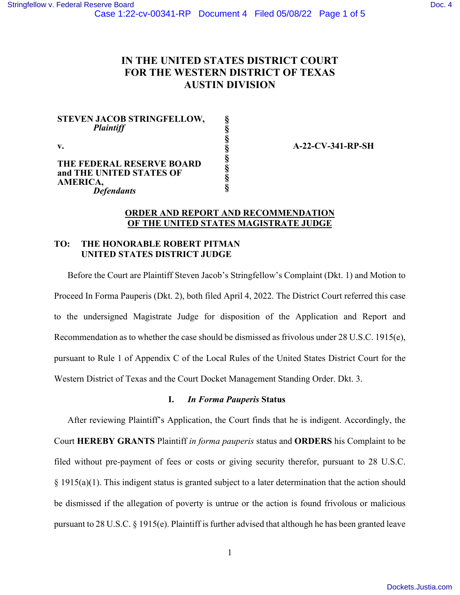# **IN THE UNITED STATES DISTRICT COURT FOR THE WESTERN DISTRICT OF TEXAS AUSTIN DIVISION**

**§ § § § § § § §** 

**STEVEN JACOB STRINGFELLOW,**   *Plaintiff* 

**v.** 

**THE FEDERAL RESERVE BOARD and THE UNITED STATES OF AMERICA,**   *Defendants* 

**A-22-CV-341-RP-SH** 

## **ORDER AND REPORT AND RECOMMENDATION OF THE UNITED STATES MAGISTRATE JUDGE**

# **TO: THE HONORABLE ROBERT PITMAN UNITED STATES DISTRICT JUDGE**

Before the Court are Plaintiff Steven Jacob's Stringfellow's Complaint (Dkt. 1) and Motion to Proceed In Forma Pauperis (Dkt. 2), both filed April 4, 2022. The District Court referred this case to the undersigned Magistrate Judge for disposition of the Application and Report and Recommendation as to whether the case should be dismissed as frivolous under 28 U.S.C. 1915(e), pursuant to Rule 1 of Appendix C of the Local Rules of the United States District Court for the Western District of Texas and the Court Docket Management Standing Order. Dkt. 3.

## **I.** *In Forma Pauperis* **Status**

After reviewing Plaintiff's Application, the Court finds that he is indigent. Accordingly, the Court **HEREBY GRANTS** Plaintiff *in forma pauperis* status and **ORDERS** his Complaint to be filed without pre-payment of fees or costs or giving security therefor, pursuant to 28 U.S.C. § 1915(a)(1). This indigent status is granted subject to a later determination that the action should be dismissed if the allegation of poverty is untrue or the action is found frivolous or malicious pursuant to 28 U.S.C. § 1915(e). Plaintiff is further advised that although he has been granted leave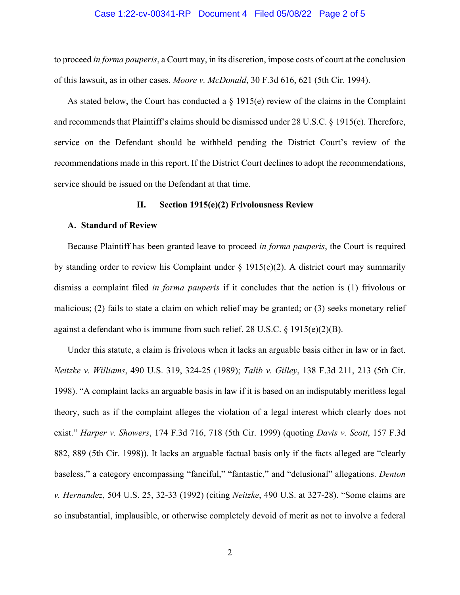#### Case 1:22-cv-00341-RP Document 4 Filed 05/08/22 Page 2 of 5

to proceed *in forma pauperis*, a Court may, in its discretion, impose costs of court at the conclusion of this lawsuit, as in other cases. *Moore v. McDonald*, 30 F.3d 616, 621 (5th Cir. 1994).

As stated below, the Court has conducted a § 1915(e) review of the claims in the Complaint and recommends that Plaintiff's claims should be dismissed under 28 U.S.C. § 1915(e). Therefore, service on the Defendant should be withheld pending the District Court's review of the recommendations made in this report. If the District Court declines to adopt the recommendations, service should be issued on the Defendant at that time.

#### **II. Section 1915(e)(2) Frivolousness Review**

#### **A. Standard of Review**

Because Plaintiff has been granted leave to proceed *in forma pauperis*, the Court is required by standing order to review his Complaint under  $\S$  1915(e)(2). A district court may summarily dismiss a complaint filed *in forma pauperis* if it concludes that the action is (1) frivolous or malicious; (2) fails to state a claim on which relief may be granted; or (3) seeks monetary relief against a defendant who is immune from such relief. 28 U.S.C.  $\S$  1915(e)(2)(B).

Under this statute, a claim is frivolous when it lacks an arguable basis either in law or in fact. *Neitzke v. Williams*, 490 U.S. 319, 324-25 (1989); *Talib v. Gilley*, 138 F.3d 211, 213 (5th Cir. 1998). "A complaint lacks an arguable basis in law if it is based on an indisputably meritless legal theory, such as if the complaint alleges the violation of a legal interest which clearly does not exist." *Harper v. Showers*, 174 F.3d 716, 718 (5th Cir. 1999) (quoting *Davis v. Scott*, 157 F.3d 882, 889 (5th Cir. 1998)). It lacks an arguable factual basis only if the facts alleged are "clearly baseless," a category encompassing "fanciful," "fantastic," and "delusional" allegations. *Denton v. Hernandez*, 504 U.S. 25, 32-33 (1992) (citing *Neitzke*, 490 U.S. at 327-28). "Some claims are so insubstantial, implausible, or otherwise completely devoid of merit as not to involve a federal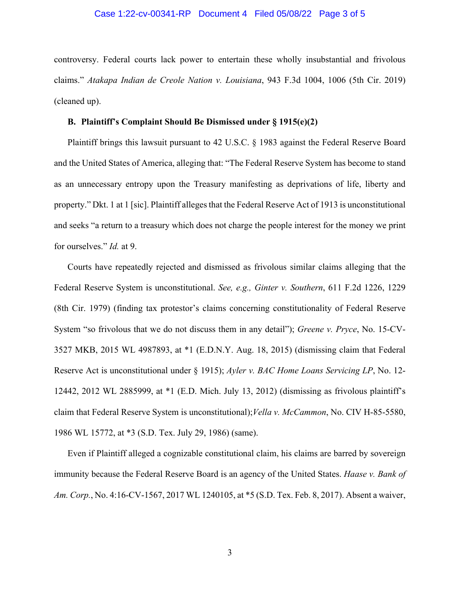#### Case 1:22-cv-00341-RP Document 4 Filed 05/08/22 Page 3 of 5

controversy. Federal courts lack power to entertain these wholly insubstantial and frivolous claims." *Atakapa Indian de Creole Nation v. Louisiana*, 943 F.3d 1004, 1006 (5th Cir. 2019) (cleaned up).

#### **B. Plaintiff's Complaint Should Be Dismissed under § 1915(e)(2)**

Plaintiff brings this lawsuit pursuant to 42 U.S.C. § 1983 against the Federal Reserve Board and the United States of America, alleging that: "The Federal Reserve System has become to stand as an unnecessary entropy upon the Treasury manifesting as deprivations of life, liberty and property." Dkt. 1 at 1 [sic]. Plaintiff alleges that the Federal Reserve Act of 1913 is unconstitutional and seeks "a return to a treasury which does not charge the people interest for the money we print for ourselves." *Id.* at 9.

Courts have repeatedly rejected and dismissed as frivolous similar claims alleging that the Federal Reserve System is unconstitutional. *See, e.g., Ginter v. Southern*, 611 F.2d 1226, 1229 (8th Cir. 1979) (finding tax protestor's claims concerning constitutionality of Federal Reserve System "so frivolous that we do not discuss them in any detail"); *Greene v. Pryce*, No. 15-CV-3527 MKB, 2015 WL 4987893, at \*1 (E.D.N.Y. Aug. 18, 2015) (dismissing claim that Federal Reserve Act is unconstitutional under § 1915); *Ayler v. BAC Home Loans Servicing LP*, No. 12- 12442, 2012 WL 2885999, at \*1 (E.D. Mich. July 13, 2012) (dismissing as frivolous plaintiff's claim that Federal Reserve System is unconstitutional);*Vella v. McCammon*, No. CIV H-85-5580, 1986 WL 15772, at \*3 (S.D. Tex. July 29, 1986) (same).

Even if Plaintiff alleged a cognizable constitutional claim, his claims are barred by sovereign immunity because the Federal Reserve Board is an agency of the United States. *Haase v. Bank of Am. Corp.*, No. 4:16-CV-1567, 2017 WL 1240105, at \*5 (S.D. Tex. Feb. 8, 2017). Absent a waiver,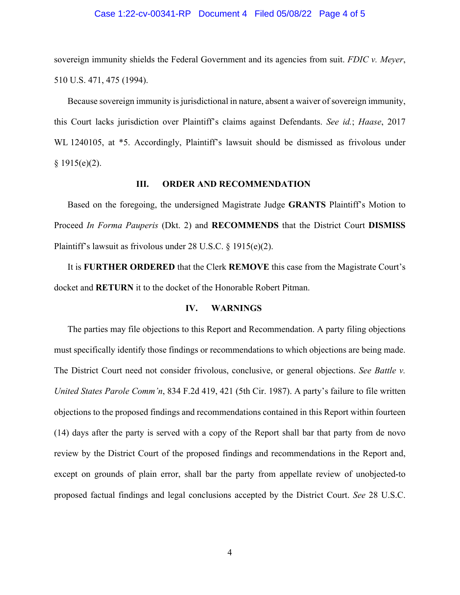#### Case 1:22-cv-00341-RP Document 4 Filed 05/08/22 Page 4 of 5

sovereign immunity shields the Federal Government and its agencies from suit. *FDIC v. Meyer*, 510 U.S. 471, 475 (1994).

Because sovereign immunity is jurisdictional in nature, absent a waiver of sovereign immunity, this Court lacks jurisdiction over Plaintiff's claims against Defendants. *See id.*; *Haase*, 2017 WL 1240105, at \*5. Accordingly, Plaintiff's lawsuit should be dismissed as frivolous under  $§ 1915(e)(2).$ 

#### **III. ORDER AND RECOMMENDATION**

Based on the foregoing, the undersigned Magistrate Judge **GRANTS** Plaintiff's Motion to Proceed *In Forma Pauperis* (Dkt. 2) and **RECOMMENDS** that the District Court **DISMISS**  Plaintiff's lawsuit as frivolous under 28 U.S.C. § 1915(e)(2).

It is **FURTHER ORDERED** that the Clerk **REMOVE** this case from the Magistrate Court's docket and **RETURN** it to the docket of the Honorable Robert Pitman.

#### **IV. WARNINGS**

The parties may file objections to this Report and Recommendation. A party filing objections must specifically identify those findings or recommendations to which objections are being made. The District Court need not consider frivolous, conclusive, or general objections. *See Battle v. United States Parole Comm'n*, 834 F.2d 419, 421 (5th Cir. 1987). A party's failure to file written objections to the proposed findings and recommendations contained in this Report within fourteen (14) days after the party is served with a copy of the Report shall bar that party from de novo review by the District Court of the proposed findings and recommendations in the Report and, except on grounds of plain error, shall bar the party from appellate review of unobjected-to proposed factual findings and legal conclusions accepted by the District Court. *See* 28 U.S.C.